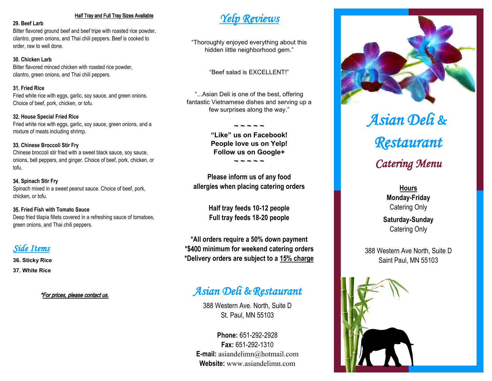#### Half Tray and Full Tray Sizes Available

#### **29. Beef Larb**

Bitter flavored ground beef and beef tripe with roasted rice powder, cilantro, green onions, and Thai chili peppers. Beef is cooked to order, raw to well done.

#### **30. Chicken Larb**

Bitter flavored minced chicken with roasted rice powder, cilantro, green onions, and Thai chili peppers.

#### 31. **Fried Rice**

Fried white rice with eggs, garlic, soy sauce, and green onions. Choice of beef, pork, chicken, or tofu.

#### 32. **House Special Fried Rice**

Fried white rice with eggs, garlic, soy sauce, green onions, and a mixture of meats including shrimp.

#### 33. **Chinese Broccoli Stir Fry**

Chinese broccoli stir fried with a sweet black sauce, soy sauce, onions, bell peppers, and ginger. Choice of beef, pork, chicken, or tofu.

# 34. **Spinach Stir Fry**

Spinach mixed in a sweet peanut sauce. Choice of beef, pork, chicken, or tofu.

#### 35. **Fried Fish with Tomato Sauce**

Deep fried tilapia fillets covered in a refreshing sauce of tomatoes, green onions, and Thai chili peppers.

# *Side Items*

**36. Sticky Rice**

**37. White Rice**

\*For prices, please contact us.

# *Yelp Reviews*

"Thoroughly enjoyed everything about this hidden little neighborhood gem."

"Beef salad is EXCELLENT!"

"...Asian Deli is one of the best, offering fantastic Vietnamese dishes and serving up a few surprises along the way."

> **~ ~ ~ ~ ~ "Like" us on Facebook! People love us on Yelp! Follow us on Google+**

> > **~ ~ ~ ~ ~**

**Please inform us of any food allergies when placing catering orders** 

> **Half tray feeds 10-12 people Full tray feeds 18-20 people**

**\*All orders require a 50% down payment \*\$**400 **minimum for weekend catering orders \*Delivery orders are subject to a 15% charge**

# *Asian Deli* **&***Restaurant*

388 Western Ave. North, Suite D St. Paul, MN 55103

**Phone:** 651-292-2928 **Fax:** 651-292-1310 **E-mail:** asiandelimn@hotmail.com Website: www.asiandelimn.com



*Asian Deli* **&** *Restaurant Catering Menu*

> **Hours Monday-Friday** Catering Only

**Saturday-Sunday** Catering Only

388 Western Ave North, Suite D Saint Paul, MN 55103